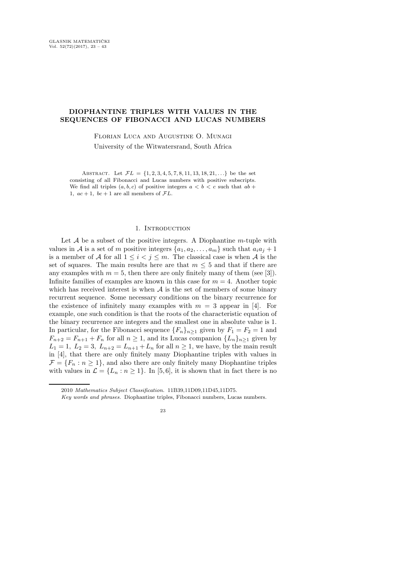## DIOPHANTINE TRIPLES WITH VALUES IN THE SEQUENCES OF FIBONACCI AND LUCAS NUMBERS

Florian Luca and Augustine O. Munagi

University of the Witwatersrand, South Africa

ABSTRACT. Let  $\mathcal{F}L = \{1, 2, 3, 4, 5, 7, 8, 11, 13, 18, 21, \ldots\}$  be the set consisting of all Fibonacci and Lucas numbers with positive subscripts. We find all triples  $(a, b, c)$  of positive integers  $a < b < c$  such that  $ab +$ 1,  $ac + 1$ ,  $bc + 1$  are all members of  $FL$ .

## 1. INTRODUCTION

Let  $A$  be a subset of the positive integers. A Diophantine m-tuple with values in A is a set of m positive integers  $\{a_1, a_2, \ldots, a_m\}$  such that  $a_i a_j + 1$ is a member of A for all  $1 \leq i < j \leq m$ . The classical case is when A is the set of squares. The main results here are that  $m \leq 5$  and that if there are any examples with  $m = 5$ , then there are only finitely many of them (see [3]). Infinite families of examples are known in this case for  $m = 4$ . Another topic which has received interest is when  $A$  is the set of members of some binary recurrent sequence. Some necessary conditions on the binary recurrence for the existence of infinitely many examples with  $m = 3$  appear in [4]. For example, one such condition is that the roots of the characteristic equation of the binary recurrence are integers and the smallest one in absolute value is 1. In particular, for the Fibonacci sequence  $\{F_n\}_{n>1}$  given by  $F_1 = F_2 = 1$  and  $F_{n+2} = F_{n+1} + F_n$  for all  $n \ge 1$ , and its Lucas companion  $\{L_n\}_{n>1}$  given by  $L_1 = 1, L_2 = 3, L_{n+2} = L_{n+1} + L_n$  for all  $n \geq 1$ , we have, by the main result in [4], that there are only finitely many Diophantine triples with values in  $\mathcal{F} = \{F_n : n \geq 1\}$ , and also there are only finitely many Diophantine triples with values in  $\mathcal{L} = \{L_n : n \geq 1\}$ . In [5,6], it is shown that in fact there is no

<sup>2010</sup> Mathematics Subject Classification. 11B39,11D09,11D45,11D75.

Key words and phrases. Diophantine triples, Fibonacci numbers, Lucas numbers.

<sup>23</sup>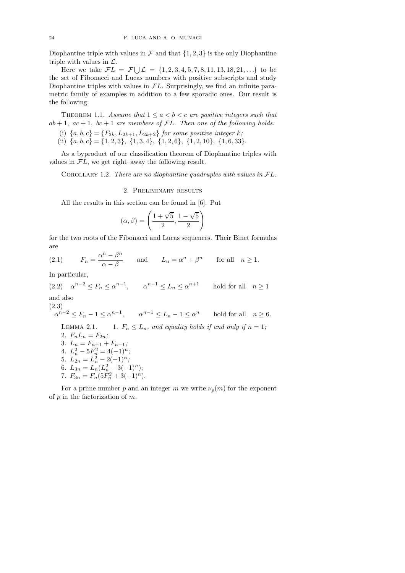Diophantine triple with values in  $\mathcal F$  and that  $\{1, 2, 3\}$  is the only Diophantine triple with values in  $\mathcal{L}$ .

Here we take  $\mathcal{F}L = \mathcal{F} \bigcup \mathcal{L} = \{1, 2, 3, 4, 5, 7, 8, 11, 13, 18, 21, ...\}$  to be the set of Fibonacci and Lucas numbers with positive subscripts and study Diophantine triples with values in  $FL$ . Surprisingly, we find an infinite parametric family of examples in addition to a few sporadic ones. Our result is the following.

THEOREM 1.1. *Assume that*  $1 \le a < b < c$  *are positive integers such that*  $ab + 1$ ,  $ac + 1$ ,  $bc + 1$  are members of  $FL$ . Then one of the following holds:

- (i)  ${a, b, c} = {F_{2k}, L_{2k+1}, L_{2k+2}}$  *for some positive integer k;*
- (ii)  $\{a, b, c\} = \{1, 2, 3\}, \{1, 3, 4\}, \{1, 2, 6\}, \{1, 2, 10\}, \{1, 6, 33\}.$

As a byproduct of our classification theorem of Diophantine triples with values in  $FL$ , we get right–away the following result.

Corollary 1.2. *There are no diophantine quadruples with values in* <sup>F</sup>L*.*

2. Preliminary results

All the results in this section can be found in [6]. Put

$$
(\alpha, \beta) = \left(\frac{1+\sqrt{5}}{2}, \frac{1-\sqrt{5}}{2}\right)
$$

for the two roots of the Fibonacci and Lucas sequences. Their Binet formulas are

(2.1) 
$$
F_n = \frac{\alpha^n - \beta^n}{\alpha - \beta}
$$
 and  $L_n = \alpha^n + \beta^n$  for all  $n \ge 1$ .

In particular,

(2.2)  $\alpha^{n-2} \le F_n \le \alpha^{n-1}$ ,  $\alpha^{n-1} \le L_n \le \alpha^{n+1}$  hold for all  $n \ge 1$ and also (2.3)  $\alpha^{n-2} \le F_n - 1 \le \alpha^{n-1}, \qquad \alpha^{n-1} \le L_n - 1 \le \alpha^n \qquad \text{hold for all} \quad n \ge 6.$ LEMMA 2.1. 1.  $F_n \leq L_n$ , and equality holds if and only if  $n = 1$ ; 2.  $F_n L_n = F_{2n}$ ; 3.  $L_n = F_{n+1} + F_{n-1}$ ; 4.  $L_n^2 - 5F_n^2 = 4(-1)^n;$ 5.  $L_{2n} = L_n^2 - 2(-1)^n;$ 6.  $L_{3n} = L_n (L_n^2 - 3(-1)^n);$ 7.  $F_{3n} = F_n(5F_n^2 + 3(-1)^n)$ .

For a prime number p and an integer m we write  $\nu_p(m)$  for the exponent of  $p$  in the factorization of  $m$ .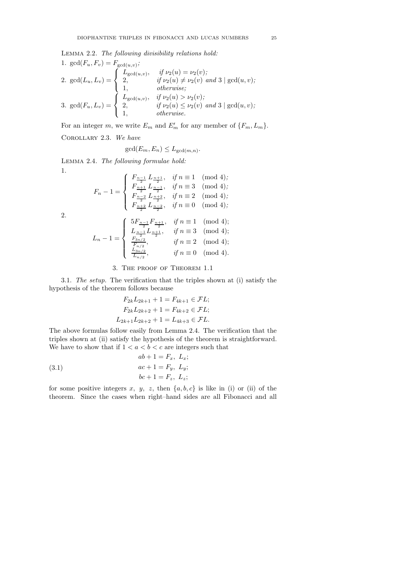Lemma 2.2. *The following divisibility relations hold:*

1. 
$$
gcd(F_u, F_v) = F_{gcd(u,v)};
$$
  
\n2.  $gcd(L_u, L_v) = \begin{cases} L_{gcd(u,v)}, & \text{if } \nu_2(u) = \nu_2(v); \\ 2, & \text{if } \nu_2(u) \neq \nu_2(v) \text{ and } 3 \mid gcd(u, v); \\ 1, & \text{otherwise}; \end{cases}$   
\n3.  $gcd(F_u, L_v) = \begin{cases} L_{gcd(u,v)}, & \text{if } \nu_2(u) > \nu_2(v); \\ 2, & \text{if } \nu_2(u) \leq \nu_2(v) \text{ and } 3 \mid gcd(u, v); \\ 1, & \text{otherwise}. \end{cases}$ 

For an integer m, we write  $E_m$  and  $E'_m$  for any member of  $\{F_m, L_m\}$ .

Corollary 2.3. *We have*

$$
\gcd(E_m, E_n) \le L_{\gcd(m,n)}.
$$

Lemma 2.4. *The following formulae hold:* 1.

$$
F_n - 1 = \begin{cases} F_{\frac{n-1}{2}} L_{\frac{n+1}{2}}, & \text{if } n \equiv 1 \pmod{4}; \\ F_{\frac{n+1}{2}} L_{\frac{n-1}{2}}, & \text{if } n \equiv 3 \pmod{4}; \\ F_{\frac{n-2}{2}} L_{\frac{n+2}{2}}, & \text{if } n \equiv 2 \pmod{4}; \\ F_{\frac{n+2}{2}} L_{\frac{n-2}{2}}, & \text{if } n \equiv 0 \pmod{4}; \end{cases}
$$

2.

$$
L_n - 1 = \begin{cases} 5F_{\frac{n-1}{2}}F_{\frac{n+1}{2}}, & \text{if } n \equiv 1 \pmod{4}; \\ L_{\frac{n-1}{2}}L_{\frac{n+1}{2}}, & \text{if } n \equiv 3 \pmod{4}; \\ \frac{F_{3n/2}}{F_{n/2}}, & \text{if } n \equiv 2 \pmod{4}; \\ \frac{L_{3n/2}}{L_{n/2}}, & \text{if } n \equiv 0 \pmod{4}. \end{cases}
$$

## 3. The proof of Theorem 1.1

3.1. *The setup.* The verification that the triples shown at (i) satisfy the hypothesis of the theorem follows because

$$
F_{2k}L_{2k+1} + 1 = F_{4k+1} \in \mathcal{F}L;
$$
  
\n
$$
F_{2k}L_{2k+2} + 1 = F_{4k+2} \in \mathcal{F}L;
$$
  
\n
$$
L_{2k+1}L_{2k+2} + 1 = L_{4k+3} \in \mathcal{F}L.
$$

The above formulas follow easily from Lemma 2.4. The verification that the triples shown at (ii) satisfy the hypothesis of the theorem is straightforward. We have to show that if  $1 < a < b < c$  are integers such that

(3.1) 
$$
ab + 1 = F_x, L_x;
$$

$$
ac + 1 = F_y, L_y;
$$

$$
bc + 1 = F_z, L_z;
$$

for some positive integers x, y, z, then  $\{a, b, c\}$  is like in (i) or (ii) of the theorem. Since the cases when right–hand sides are all Fibonacci and all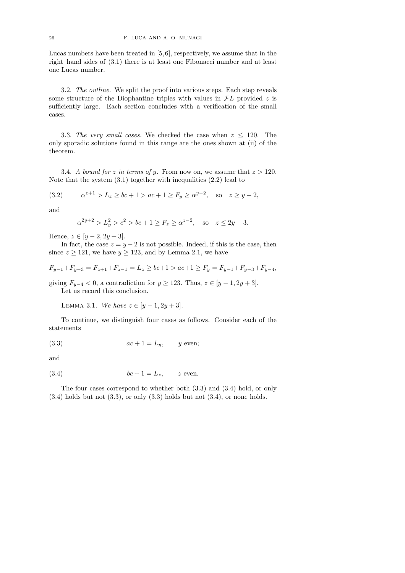Lucas numbers have been treated in [5,6], respectively, we assume that in the right–hand sides of (3.1) there is at least one Fibonacci number and at least one Lucas number.

3.2. *The outline.* We split the proof into various steps. Each step reveals some structure of the Diophantine triples with values in  $FL$  provided  $z$  is sufficiently large. Each section concludes with a verification of the small cases.

3.3. The very small cases. We checked the case when  $z \leq 120$ . The only sporadic solutions found in this range are the ones shown at (ii) of the theorem.

3.4. *A bound for z in terms of y*. From now on, we assume that  $z > 120$ . Note that the system (3.1) together with inequalities (2.2) lead to

$$
(3.2) \qquad \alpha^{z+1} > L_z \ge bc + 1 > ac + 1 \ge F_y \ge \alpha^{y-2}, \quad \text{so} \quad z \ge y - 2,
$$

and

$$
\alpha^{2y+2} > L_y^2 > c^2 > bc + 1 \ge F_z \ge \alpha^{z-2}
$$
, so  $z \le 2y + 3$ .

Hence,  $z \in [y-2, 2y+3]$ .

In fact, the case  $z = y - 2$  is not possible. Indeed, if this is the case, then since  $z \ge 121$ , we have  $y \ge 123$ , and by Lemma 2.1, we have

$$
F_{y-1}+F_{y-3}=F_{z+1}+F_{z-1}=L_z\geq bc+1>ac+1\geq F_y=F_{y-1}+F_{y-3}+F_{y-4},
$$

giving  $F_{y-4} < 0$ , a contradiction for  $y \ge 123$ . Thus,  $z \in [y-1, 2y+3]$ . Let us record this conclusion.

LEMMA 3.1. *We have*  $z \in [y-1, 2y+3]$ .

To continue, we distinguish four cases as follows. Consider each of the statements

$$
(3.3) \t ac + 1 = L_y, \t y \text{ even};
$$

and

$$
(3.4) \t\t bc + 1 = L_z, \t z \text{ even.}
$$

The four cases correspond to whether both (3.3) and (3.4) hold, or only  $(3.4)$  holds but not  $(3.3)$ , or only  $(3.3)$  holds but not  $(3.4)$ , or none holds.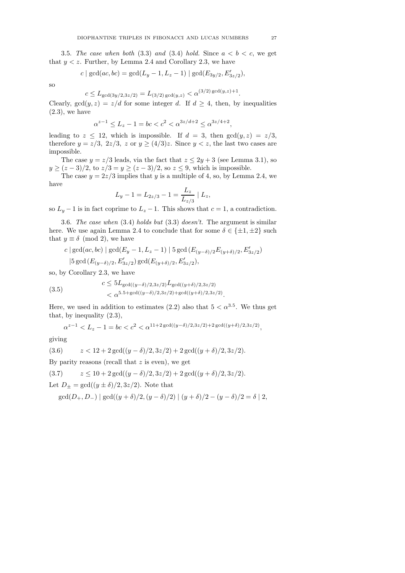3.5. The case when both  $(3.3)$  and  $(3.4)$  hold. Since  $a < b < c$ , we get that  $y < z$ . Further, by Lemma 2.4 and Corollary 2.3, we have

$$
c \mid \gcd(ac, bc) = \gcd(L_y - 1, L_z - 1) \mid \gcd(E_{3y/2}, E'_{3z/2}),
$$

so

$$
c \le L_{\gcd(3y/2, 3z/2)} = L_{(3/2)\gcd(y,z)} < \alpha^{(3/2)\gcd(y,z)+1}.
$$

Clearly,  $gcd(y, z) = z/d$  for some integer d. If  $d \geq 4$ , then, by inequalities  $(2.3)$ , we have

$$
\alpha^{z-1} \le L_z - 1 = bc < c^2 < \alpha^{3z/d+2} \le \alpha^{3z/4+2},
$$

leading to  $z \leq 12$ , which is impossible. If  $d = 3$ , then  $gcd(y, z) = z/3$ , therefore  $y = z/3$ ,  $2z/3$ , z or  $y \ge (4/3)z$ . Since  $y < z$ , the last two cases are impossible.

The case  $y = z/3$  leads, via the fact that  $z \leq 2y + 3$  (see Lemma 3.1), so  $y \ge (z-3)/2$ , to  $z/3 = y \ge (z-3)/2$ , so  $z \le 9$ , which is impossible.

The case  $y = 2z/3$  implies that y is a multiple of 4, so, by Lemma 2.4, we have

$$
L_y - 1 = L_{2z/3} - 1 = \frac{L_z}{L_{z/3}} \mid L_z,
$$

so  $L_y - 1$  is in fact coprime to  $L_z - 1$ . This shows that  $c = 1$ , a contradiction.

3.6. *The case when* (3.4) *holds but* (3.3) *doesn't.* The argument is similar here. We use again Lemma 2.4 to conclude that for some  $\delta \in \{\pm 1, \pm 2\}$  such that  $y \equiv \delta \pmod{2}$ , we have

$$
\begin{split} & c \mid \gcd(ac,bc) \mid \gcd(E_y-1,L_z-1) \mid 5 \gcd\left(E_{(y-\delta)/2}E_{(y+\delta)/2},E'_{3z/2}\right) \\ & \mid 5 \gcd\left(E_{(y-\delta)/2},E'_{3z/2}\right) \gcd(E_{(y+\delta)/2},E'_{3z/2}), \end{split}
$$

so, by Corollary 2.3, we have

(3.5) 
$$
c \leq 5L_{\text{gcd}((y-\delta)/2,3z/2)}L_{\text{gcd}((y+\delta)/2,3z/2)}
$$

$$
< \alpha^{5.5 + \text{gcd}((y-\delta)/2,3z/2) + \text{gcd}((y+\delta)/2,3z/2)}.
$$

Here, we used in addition to estimates (2.2) also that  $5 < \alpha^{3.5}$ . We thus get that, by inequality (2.3),

$$
\alpha^{z-1} < L_z - 1 = bc < c^2 < \alpha^{11+2\gcd((y-\delta)/2, 3z/2) + 2\gcd((y+\delta)/2, 3z/2)},
$$

giving

(3.6) 
$$
z < 12 + 2\gcd((y - \delta)/2, 3z/2) + 2\gcd((y + \delta)/2, 3z/2).
$$

By parity reasons (recall that  $z$  is even), we get

$$
(3.7) \t z \le 10 + 2 \gcd((y - \delta)/2, 3z/2) + 2 \gcd((y + \delta)/2, 3z/2).
$$

Let  $D_{+} = \gcd((y \pm \delta)/2, 3z/2)$ . Note that

$$
\gcd(D_+, D_-) | \gcd((y+\delta)/2, (y-\delta)/2) | (y+\delta)/2 - (y-\delta)/2 = \delta | 2,
$$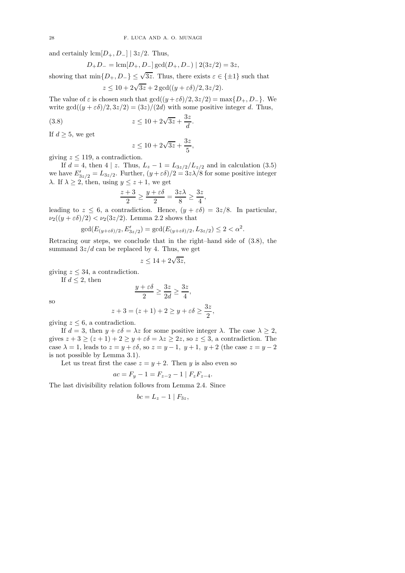and certainly  $\text{lcm}[D_+, D_-] | 3z/2$ . Thus,

$$
D_+D_- = \text{lcm}[D_+, D_-] \gcd(D_+, D_-) | 2(3z/2) = 3z,
$$

showing that  $\min\{D_+, D_-\} \leq \sqrt{3z}$ . Thus, there exists  $\varepsilon \in {\pm 1}$  such that

$$
z \le 10 + 2\sqrt{3z} + 2\gcd((y + \varepsilon\delta)/2, 3z/2).
$$

The value of  $\varepsilon$  is chosen such that  $gcd((y+\varepsilon\delta)/2, 3z/2) = max\{D_+, D_-\}$ . We write gcd $((y + \varepsilon \delta)/2, 3z/2) = (3z)/(2d)$  with some positive integer d. Thus,

(3.8) 
$$
z \le 10 + 2\sqrt{3z} + \frac{3z}{d}
$$
.

If  $d \geq 5$ , we get

$$
z \le 10 + 2\sqrt{3z} + \frac{3z}{5},
$$

giving  $z \leq 119$ , a contradiction.

If  $d = 4$ , then  $4 \mid z$ . Thus,  $L_z - 1 = L_{3z/2}/L_{z/2}$  and in calculation (3.5) we have  $E'_{3z/2} = L_{3z/2}$ . Further,  $(y + \varepsilon \delta)/2 = 3z\lambda/8$  for some positive integer  $\lambda$ . If  $\lambda \geq 2$ , then, using  $y \leq z+1$ , we get

$$
\frac{z+3}{2} \ge \frac{y+\varepsilon\delta}{2} = \frac{3z\lambda}{8} \ge \frac{3z}{4},
$$

leading to  $z \leq 6$ , a contradiction. Hence,  $(y + \varepsilon \delta) = 3z/8$ . In particular,  $\nu_2((y+\varepsilon\delta)/2) < \nu_2(3z/2)$ . Lemma 2.2 shows that

$$
\gcd(E_{(y+\varepsilon\delta)/2}, E'_{3z/2}) = \gcd(E_{(y+\varepsilon\delta)/2}, L_{3z/2}) \le 2 < \alpha^2.
$$

Retracing our steps, we conclude that in the right–hand side of (3.8), the summand  $3z/d$  can be replaced by 4. Thus, we get

$$
z \le 14 + 2\sqrt{3z},
$$

giving  $z \leq 34$ , a contradiction.

If  $d \leq 2$ , then

$$
\frac{y+\varepsilon\delta}{2} \ge \frac{3z}{2d} \ge \frac{3z}{4},
$$
  

$$
z+3 = (z+1) + 2 \ge y + \varepsilon\delta \ge \frac{3z}{2}
$$

 $\frac{2}{2}$ ,

so

giving 
$$
z \leq 6
$$
, a contradiction.

If  $d = 3$ , then  $y + \varepsilon \delta = \lambda z$  for some positive integer  $\lambda$ . The case  $\lambda \geq 2$ , gives  $z + 3 \ge (z + 1) + 2 \ge y + \varepsilon \delta = \lambda z \ge 2z$ , so  $z \le 3$ , a contradiction. The case  $\lambda = 1$ , leads to  $z = y + \varepsilon \delta$ , so  $z = y - 1$ ,  $y + 1$ ,  $y + 2$  (the case  $z = y - 2$ is not possible by Lemma 3.1).

Let us treat first the case  $z = y + 2$ . Then y is also even so

$$
ac = F_y - 1 = F_{z-2} - 1 \mid F_z F_{z-4}.
$$

The last divisibility relation follows from Lemma 2.4. Since

$$
bc = L_z - 1 \mid F_{3z},
$$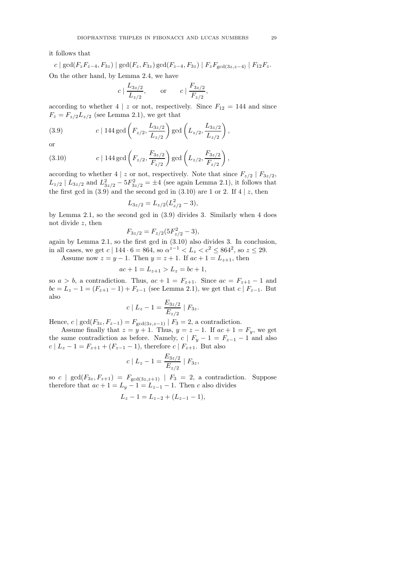it follows that

$$
c | \gcd(F_z F_{z-4}, F_{3z}) | \gcd(F_z, F_{3z}) \gcd(F_{z-4}, F_{3z}) | F_z F_{\gcd(3z, z-4)} | F_{12} F_z.
$$

On the other hand, by Lemma 2.4, we have

$$
c \mid \frac{L_{3z/2}}{L_{z/2}},
$$
 or  $c \mid \frac{F_{3z/2}}{F_{z/2}},$ 

according to whether 4 | z or not, respectively. Since  $F_{12} = 144$  and since  $F_z = F_{z/2}L_{z/2}$  (see Lemma 2.1), we get that

(3.9) 
$$
c | 144 \gcd\left(F_{z/2}, \frac{L_{3z/2}}{L_{z/2}}\right) \gcd\left(L_{z/2}, \frac{L_{3z/2}}{L_{z/2}}\right),
$$

or

(3.10) 
$$
c | 144 \gcd\left(F_{z/2}, \frac{F_{3z/2}}{F_{z/2}}\right) \gcd\left(L_{z/2}, \frac{F_{3z/2}}{F_{z/2}}\right),
$$

according to whether 4 | z or not, respectively. Note that since  $F_{z/2}$  |  $F_{3z/2}$ ,  $L_{z/2}$  |  $L_{3z/2}$  and  $L_{3z/2}^2 - 5F_{3z/2}^2 = \pm 4$  (see again Lemma 2.1), it follows that the first gcd in  $(3.9)$  and the second gcd in  $(3.10)$  are 1 or 2. If 4 | z, then

$$
L_{3z/2} = L_{z/2} (L_{z/2}^2 - 3),
$$

by Lemma 2.1, so the second gcd in (3.9) divides 3. Similarly when 4 does not divide z, then

$$
F_{3z/2} = F_{z/2}(5F_{z/2}^2 - 3),
$$

again by Lemma 2.1, so the first gcd in (3.10) also divides 3. In conclusion, in all cases, we get  $c \mid 144 \cdot 6 = 864$ , so  $\alpha^{z-1} < L_z < c^2 \leq 864^2$ , so  $z \leq 29$ .

Assume now  $z = y - 1$ . Then  $y = z + 1$ . If  $ac + 1 = L_{z+1}$ , then

$$
ac + 1 = L_{z+1} > L_z = bc + 1,
$$

so  $a > b$ , a contradiction. Thus,  $ac + 1 = F_{z+1}$ . Since  $ac = F_{z+1} - 1$  and  $bc = L_z - 1 = (F_{z+1} - 1) + F_{z-1}$  (see Lemma 2.1), we get that  $c | F_{z-1}$ . But also

$$
c \mid L_z - 1 = \frac{E_{3z/2}}{E_{z/2}} \mid F_{3z}.
$$

Hence,  $c \mid \gcd(F_{3z}, F_{z-1}) = F_{\gcd(3z,z-1)} \mid F_3 = 2$ , a contradiction.

Assume finally that  $z = y + 1$ . Thus,  $y = z - 1$ . If  $ac + 1 = F_y$ , we get the same contradiction as before. Namely,  $c | F_y - 1 = F_{z-1} - 1$  and also  $c \mid L_z - 1 = F_{z+1} + (F_{z-1} - 1)$ , therefore  $c \mid F_{z+1}$ . But also

$$
c \mid L_z - 1 = \frac{E_{3z/2}}{E_{z/2}} \mid F_{3z},
$$

so  $c \mid \gcd(F_{3z}, F_{z+1}) = F_{\gcd(3z,z+1)} \mid F_3 = 2$ , a contradiction. Suppose therefore that  $ac + 1 = L_y - 1 = L_{z-1} - 1$ . Then c also divides

$$
L_z - 1 = L_{z-2} + (L_{z-1} - 1),
$$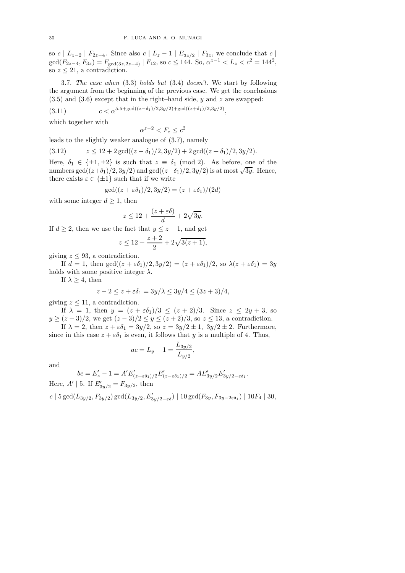so c |  $L_{z-2}$  |  $F_{2z-4}$ . Since also c |  $L_z - 1$  |  $E_{3z/2}$  |  $F_{3z}$ , we conclude that c |  $gcd(F_{2z-4}, F_{3z}) = F_{gcd(3z, 2z-4)} | F_{12}$ , so  $c \le 144$ . So,  $\alpha^{z-1} < L_z < c^2 = 144^2$ , so  $z \leq 21$ , a contradiction.

3.7. *The case when* (3.3) *holds but* (3.4) *doesn't.* We start by following the argument from the beginning of the previous case. We get the conclusions (3.5) and (3.6) except that in the right–hand side,  $y$  and  $z$  are swapped:

(3.11)  $c < \alpha^{5.5 + \gcd((z-\delta_1)/2,3y/2) + \gcd((z+\delta_1)/2,3y/2)},$ 

which together with

 $\alpha^{z-2} < F_z \leq c^2$ 

leads to the slightly weaker analogue of (3.7), namely

$$
(3.12) \t z \le 12 + 2 \gcd((z - \delta_1)/2, 3y/2) + 2 \gcd((z + \delta_1)/2, 3y/2).
$$

Here,  $\delta_1 \in {\pm 1, \pm 2}$  is such that  $z \equiv \delta_1 \pmod{2}$ . As before, one of the numbers  $\gcd((z+\delta_1)/2, 3y/2)$  and  $\gcd((z-\delta_1)/2, 3y/2)$  is at most  $\sqrt{3y}$ . Hence, there exists  $\varepsilon \in {\pm 1}$  such that if we write

$$
\gcd((z+\varepsilon \delta_1)/2, 3y/2) = (z+\varepsilon \delta_1)/(2d)
$$

with some integer  $d \geq 1$ , then

$$
z \le 12 + \frac{(z + \varepsilon \delta)}{d} + 2\sqrt{3y}.
$$

If  $d \geq 2$ , then we use the fact that  $y \leq z + 1$ , and get

$$
z \le 12 + \frac{z+2}{2} + 2\sqrt{3(z+1)},
$$

giving  $z \leq 93$ , a contradiction.

If  $d = 1$ , then  $gcd((z + \varepsilon \delta_1)/2, 3y/2) = (z + \varepsilon \delta_1)/2$ , so  $\lambda(z + \varepsilon \delta_1) = 3y$ holds with some positive integer  $\lambda$ .

If  $\lambda \geq 4$ , then

$$
z - 2 \le z + \varepsilon \delta_1 = 3y/\lambda \le 3y/4 \le (3z + 3)/4,
$$

giving  $z \leq 11$ , a contradiction.

If  $\lambda = 1$ , then  $y = (z + \varepsilon \delta_1)/3 \le (z + 2)/3$ . Since  $z \le 2y + 3$ , so  $y \ge (z-3)/2$ , we get  $(z-3)/2 \le y \le (z+2)/3$ , so  $z \le 13$ , a contradiction.

If  $\lambda = 2$ , then  $z + \varepsilon \delta_1 = 3y/2$ , so  $z = 3y/2 \pm 1$ ,  $3y/2 \pm 2$ . Furthermore, since in this case  $z + \varepsilon \delta_1$  is even, it follows that y is a multiple of 4. Thus,

$$
ac = L_y - 1 = \frac{L_{3y/2}}{L_{y/2}},
$$

.

and

$$
bc = E'_z - 1 = A'E'_{(z+\varepsilon\delta_1)/2}E'_{(z-\varepsilon\delta_1)/2} = AE'_{3y/2}E'_{3y/2-\varepsilon\delta_1}
$$

Here,  $A' | 5$ . If  $E'_{3y/2} = F_{3y/2}$ , then

c | 5 gcd $(L_{3y/2}, F_{3y/2})$  gcd $(L_{3y/2}, E'_{3y/2-\varepsilon\delta})$  | 10 gcd $(F_{3y}, F_{3y-2\varepsilon\delta_1})$  | 10 $F_4$  | 30,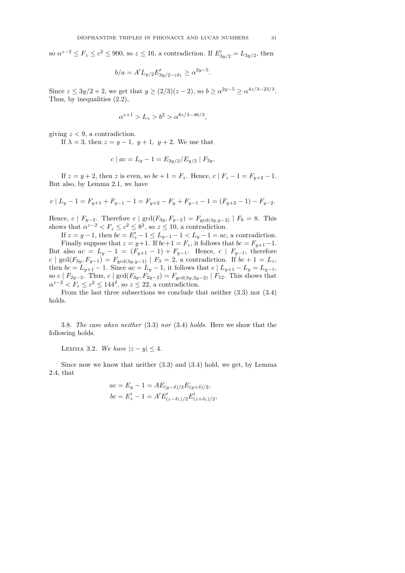so  $\alpha^{z-2} \le F_z \le c^2 \le 900$ , so  $z \le 16$ , a contradiction. If  $E'_{3y/2} = L_{3y/2}$ , then

$$
b/a = A'L_{y/2}E'_{3y/2-\varepsilon\delta_1} \ge \alpha^{2y-5}.
$$

Since  $z \le 3y/2 + 2$ , we get that  $y \ge (2/3)(z - 2)$ , so  $b \ge \alpha^{2y-5} \ge \alpha^{4z/3 - 23/3}$ . Thus, by inequalities (2.2),

$$
\alpha^{z+1} > L_z > b^2 > \alpha^{8z/3 - 46/3},
$$

giving  $z < 9$ , a contradiction.

If  $\lambda = 3$ , then  $z = y - 1$ ,  $y + 1$ ,  $y + 2$ . We use that

$$
c \mid ac = L_y - 1 = E_{3y/2} / E_{y/2} \mid F_{3y}.
$$

If  $z = y + 2$ , then z is even, so  $bc + 1 = F_z$ . Hence,  $c | F_z - 1 = F_{y+2} - 1$ . But also, by Lemma 2.1, we have

$$
c \mid L_y - 1 = F_{y+1} + F_{y-1} - 1 = F_{y+2} - F_y + F_{y-1} - 1 = (F_{y+2} - 1) - F_{y-2}.
$$

Hence, c |  $F_{y-2}$ . Therefore c | gcd( $F_{3y}, F_{y-2}$ ) =  $F_{\text{gcd}(3y,y-2)}$  |  $F_6 = 8$ . This shows that  $\alpha^{z-2} < F_z \leq c^2 \leq 8^2$ , so  $z \leq 10$ , a contradiction.

If  $z = y - 1$ , then  $bc = E'_z - 1 \le L_{y-1} - 1 \le L_y - 1 = ac$ , a contradiction. Finally suppose that  $z = y+1$ . If  $bc+1 = F_z$ , it follows that  $bc = F_{y+1}-1$ . But also  $ac = L_y - 1 = (F_{y+1} - 1) + F_{y-1}$ . Hence,  $c \mid F_{y-1}$ , therefore  $c \mid \gcd(F_{3y}, F_{y-1}) = F_{\gcd(3y, y-1)} \mid F_3 = 2$ , a contradiction. If  $bc + 1 = L_z$ , then  $bc = L_{y+1} - 1$ . Since  $ac = L_y - 1$ , it follows that  $c \mid L_{y+1} - L_y = L_{y-1}$ , so c |  $F_{2y-2}$ . Thus, c | gcd( $F_{3y}, F_{2y-2}$ ) =  $F_{\text{gcd}(3y,2y-2)}$  |  $F_{12}$ . This shows that  $\alpha^{z-2} < F_z \leq c^2 \leq 144^2$ , so  $z \leq 22$ , a contradiction.

From the last three subsections we conclude that neither (3.3) nor (3.4) holds.

3.8. *The case when neither* (3.3) *nor* (3.4) *holds.* Here we show that the following holds.

LEMMA 3.2. *We have*  $|z - y| \leq 4$ .

Since now we know that neither (3.3) and (3.4) hold, we get, by Lemma 2.4, that

$$
ac = E_y - 1 = AE_{(y-\delta)/2}E_{(y+\delta)/2},
$$
  
\n
$$
bc = E'_z - 1 = A'E'_{(z-\delta_1)/2}E'_{(z+\delta_1)/2},
$$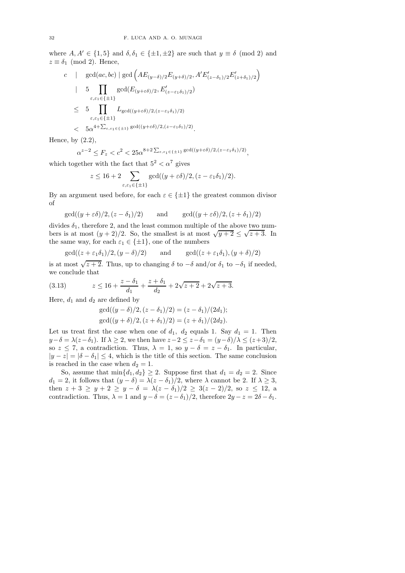where  $A, A' \in \{1, 5\}$  and  $\delta, \delta_1 \in \{\pm 1, \pm 2\}$  are such that  $y \equiv \delta \pmod{2}$  and  $z \equiv \delta_1 \pmod{2}$ . Hence,

$$
c \quad | \quad \gcd(ac, bc) \mid \gcd\left(AE_{(y-\delta)/2}E_{(y+\delta)/2}, A'E'_{(z-\delta_1)/2}E'_{(z+\delta_1)/2}\right) \n| \quad 5 \quad \prod_{\varepsilon, \varepsilon_1 \in \{\pm 1\}} \gcd(E_{(y+\varepsilon\delta)/2}, E'_{(z-\varepsilon_1\delta_1)/2}) \n\leq 5 \quad \prod_{\varepsilon, \varepsilon_1 \in \{\pm 1\}} L_{\gcd((y+\varepsilon\delta)/2, (z-\varepsilon_1\delta_1)/2)} \n< 5\alpha^{4+\sum_{\varepsilon, \varepsilon_1 \in \{\pm 1\}} \gcd((y+\varepsilon\delta)/2, (z-\varepsilon_1\delta_1)/2)}.
$$

Hence, by  $(2.2)$ ,

$$
\alpha^{z-2} \le F_z < c^2 < 25\alpha^{8+2\sum_{\varepsilon,\varepsilon_1 \in \{\pm 1\}} \gcd((y+\varepsilon \delta)/2, (z-\varepsilon_1 \delta_1)/2)},
$$

which together with the fact that  $5^2<\alpha^7$  gives

$$
z \le 16 + 2 \sum_{\varepsilon, \varepsilon_1 \in \{\pm 1\}} \gcd((y + \varepsilon \delta)/2, (z - \varepsilon_1 \delta_1)/2).
$$

By an argument used before, for each  $\varepsilon \in \{\pm 1\}$  the greatest common divisor of

$$
gcd((y+\varepsilon\delta)/2, (z-\delta_1)/2)
$$
 and  $gcd((y+\varepsilon\delta)/2, (z+\delta_1)/2)$ 

divides  $\delta_1$ , therefore 2, and the least common multiple of the above two numbers is at most  $(y+2)/2$ . So, the smallest is at most  $\sqrt{y+2} \le \sqrt{z+3}$ . In the same way, for each  $\varepsilon_1 \in \{\pm 1\}$ , one of the numbers

$$
\gcd((z+\varepsilon_1\delta_1)/2,(y-\delta)/2) \quad \text{and} \quad \gcd((z+\varepsilon_1\delta_1),(y+\delta)/2)
$$

is at most  $\sqrt{z+2}$ . Thus, up to changing  $\delta$  to  $-\delta$  and/or  $\delta_1$  to  $-\delta_1$  if needed, we conclude that

(3.13) 
$$
z \le 16 + \frac{z - \delta_1}{d_1} + \frac{z + \delta_1}{d_2} + 2\sqrt{z + 2} + 2\sqrt{z + 3}.
$$

Here,  $d_1$  and  $d_2$  are defined by

$$
gcd((y - \delta)/2, (z - \delta_1)/2) = (z - \delta_1)/(2d_1);
$$
  
gcd((y + \delta)/2, (z + \delta\_1)/2) = (z + \delta\_1)/(2d\_2).

Let us treat first the case when one of  $d_1$ ,  $d_2$  equals 1. Say  $d_1 = 1$ . Then  $y-\delta = \lambda(z-\delta_1)$ . If  $\lambda \geq 2$ , we then have  $z-2 \leq z-\delta_1 = (y-\delta)/\lambda \leq (z+3)/2$ , so  $z \le 7$ , a contradiction. Thus,  $\lambda = 1$ , so  $y - \delta = z - \delta_1$ . In particular,  $|y - z| = |\delta - \delta_1| \leq 4$ , which is the title of this section. The same conclusion is reached in the case when  $d_2 = 1$ .

So, assume that  $\min\{d_1, d_2\} \geq 2$ . Suppose first that  $d_1 = d_2 = 2$ . Since  $d_1 = 2$ , it follows that  $(y - \delta) = \lambda (z - \delta_1)/2$ , where  $\lambda$  cannot be 2. If  $\lambda \geq 3$ , then  $z + 3 \ge y + 2 \ge y - \delta = \lambda(z - \delta_1)/2 \ge 3(z - 2)/2$ , so  $z \le 12$ , a contradiction. Thus,  $\lambda = 1$  and  $y - \delta = (z - \delta_1)/2$ , therefore  $2y - z = 2\delta - \delta_1$ .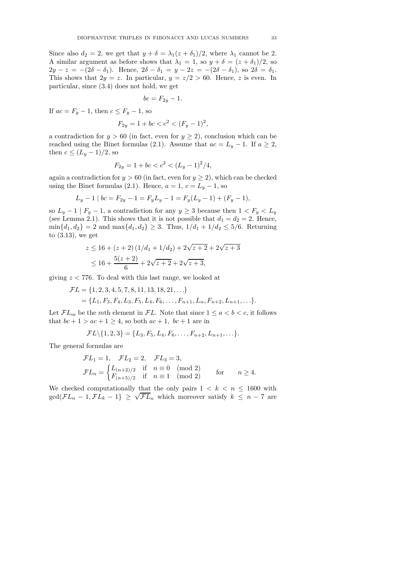Since also  $d_2 = 2$ , we get that  $y + \delta = \lambda_1(z + \delta_1)/2$ , where  $\lambda_1$  cannot be 2. A similar argument as before shows that  $\lambda_1 = 1$ , so  $y + \delta = (z + \delta_1)/2$ , so  $2y - z = -(2\delta - \delta_1)$ . Hence,  $2\delta - \delta_1 = y - 2z = -(2\delta - \delta_1)$ , so  $2\delta = \delta_1$ . This shows that  $2y = z$ . In particular,  $y = z/2 > 60$ . Hence, z is even. In particular, since (3.4) does not hold, we get

$$
bc = F_{2y} - 1.
$$

If  $ac = F_y - 1$ , then  $c \leq F_y - 1$ , so

$$
F_{2y} = 1 + bc < c^2 < (F_y - 1)^2,
$$

a contradiction for  $y > 60$  (in fact, even for  $y \ge 2$ ), conclusion which can be reached using the Binet formulas (2.1). Assume that  $ac = L_y - 1$ . If  $a \ge 2$ , then  $c \leq (L_y-1)/2$ , so

$$
F_{2y} = 1 + bc < c^2 < (L_y - 1)^2 / 4,
$$

again a contradiction for  $y > 60$  (in fact, even for  $y \ge 2$ ), which can be checked using the Binet formulas (2.1). Hence,  $a = 1, c = L_y - 1$ , so

$$
L_y - 1 \mid bc = F_{2y} - 1 = F_y L_y - 1 = F_y (L_y - 1) + (F_y - 1),
$$

so  $L_y - 1 \mid F_y - 1$ , a contradiction for any  $y \ge 3$  because then  $1 < F_y < L_y$ (see Lemma 2.1). This shows that it is not possible that  $d_1 = d_2 = 2$ . Hence,  $\min\{d_1, d_2\} = 2$  and  $\max\{d_1, d_2\} \geq 3$ . Thus,  $1/d_1 + 1/d_2 \leq 5/6$ . Returning to (3.13), we get

$$
z \le 16 + (z+2)(1/d_1 + 1/d_2) + 2\sqrt{z+2} + 2\sqrt{z+3}
$$
  

$$
\le 16 + \frac{5(z+2)}{6} + 2\sqrt{z+2} + 2\sqrt{z+3},
$$

giving  $z < 776$ . To deal with this last range, we looked at

$$
\mathcal{F}L = \{1, 2, 3, 4, 5, 7, 8, 11, 13, 18, 21, \ldots\} = \{L_1, F_3, F_4, L_3, F_5, L_4, F_6, \ldots, F_{n+1}, L_n, F_{n+2}, L_{n+1}, \ldots\}.
$$

Let  $\mathcal{F}L_m$  be the mth element in  $\mathcal{F}L$ . Note that since  $1 \leq a < b < c$ , it follows that  $bc + 1 > ac + 1 \geq 4$ , so both  $ac + 1$ ,  $bc + 1$  are in

$$
\mathcal{F}L\backslash\{1,2,3\}=\{L_3,F_5,L_4,F_6,\ldots,F_{n+2},L_{n+1},\ldots\}.
$$

The general formulas are

$$
\mathcal{F}L_1 = 1, \quad \mathcal{F}L_2 = 2, \quad \mathcal{F}L_3 = 3,
$$
  

$$
\mathcal{F}L_n = \begin{cases} L_{(n+2)/2} & \text{if } n \equiv 0 \pmod{2} \\ F_{(n+5)/2} & \text{if } n \equiv 1 \pmod{2} \end{cases} \qquad \text{for} \qquad n \ge 4.
$$

We checked computationally that the only pairs  $1 \leq k \leq n \leq 1600$  with  $gcd(\mathcal{F}L_n - 1, \mathcal{F}L_k - 1) \geq \sqrt{\mathcal{F}L_n}$  which moreover satisfy  $k \leq n - 7$  are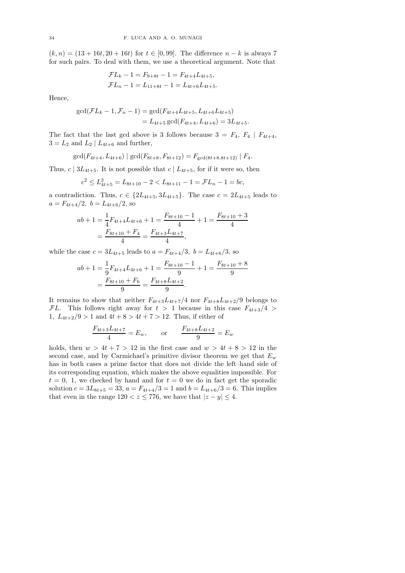$(k, n) = (13 + 16t, 20 + 16t)$  for  $t \in [0, 99]$ . The difference  $n - k$  is always 7 for such pairs. To deal with them, we use a theoretical argument. Note that

$$
\mathcal{F}L_k - 1 = F_{9+8t} - 1 = F_{4t+4}L_{4t+5},
$$
  

$$
\mathcal{F}L_n - 1 = L_{11+8t} - 1 = L_{4t+6}L_{4t+5}.
$$

Hence,

$$
gcd(\mathcal{F}L_k - 1, \mathcal{F}_n - 1) = gcd(F_{4t+4}L_{4t+5}, L_{4t+6}L_{4t+5})
$$
  
=  $L_{4t+5} gcd(F_{4t+4}, L_{4t+6}) = 3L_{4t+5}.$ 

The fact that the last gcd above is 3 follows because  $3 = F_4, F_4 | F_{4t+4},$  $3 = L_2$  and  $L_2 \mid L_{4t+6}$  and further,

 $\gcd(F_{4t+4}, L_{4t+6}) \mid \gcd(F_{8t+8}, F_{8t+12}) = F_{\gcd(8t+8,8t+12)} \mid F_4.$ 

Thus,  $c \mid 3L_{4t+5}$ . It is not possible that  $c \mid L_{4t+5}$ , for if it were so, then

$$
c^{2} \le L_{4t+5}^{2} = L_{8t+10} - 2 < L_{8t+11} - 1 = \mathcal{F}L_{n} - 1 = bc,
$$

a contradiction. Thus,  $c \in \{2L_{4t+5}, 3L_{4t+5}\}$ . The case  $c = 2L_{4t+5}$  leads to  $a = F_{4t+4}/2$ ,  $b = L_{4t+6}/2$ , so

$$
ab + 1 = \frac{1}{4}F_{4t+4}L_{4t+6} + 1 = \frac{F_{8t+10} - 1}{4} + 1 = \frac{F_{8t+10} + 3}{4}
$$

$$
= \frac{F_{8t+10} + F_4}{4} = \frac{F_{4t+3}L_{4t+7}}{4},
$$

while the case  $c = 3L_{4t+5}$  leads to  $a = F_{4t+4}/3$ ,  $b = L_{4t+6}/3$ , so

$$
ab + 1 = \frac{1}{9}F_{4t+4}L_{4t+6} + 1 = \frac{F_{8t+10} - 1}{9} + 1 = \frac{F_{8t+10} + 8}{9}
$$

$$
= \frac{F_{8t+10} + F_6}{9} = \frac{F_{4t+8}L_{4t+2}}{9}.
$$

It remains to show that neither  $F_{4t+3}L_{4t+7}/4$  nor  $F_{4t+8}L_{4t+2}/9$  belongs to FL. This follows right away for  $t > 1$  because in this case  $F_{4t+3}/4$ 1,  $L_{4t+2}/9 > 1$  and  $4t + 8 > 4t + 7 > 12$ . Thus, if either of

$$
\frac{F_{4t+3}L_{4t+7}}{4} = E_w, \qquad \text{or} \qquad \frac{F_{4t+8}L_{4t+2}}{9} = E_w
$$

holds, then  $w > 4t + 7 > 12$  in the first case and  $w > 4t + 8 > 12$  in the second case, and by Carmichael's primitive divisor theorem we get that  $E_w$ has in both cases a prime factor that does not divide the left–hand side of its corresponding equation, which makes the above equalities impossible. For  $t = 0, 1$ , we checked by hand and for  $t = 0$  we do in fact get the sporadic solution  $c = 3L_{8t+5} = 33$ ,  $a = F_{4t+4}/3 = 1$  and  $b = L_{4t+6}/3 = 6$ . This implies that even in the range  $120 < z \le 776$ , we have that  $|z - y| \le 4$ .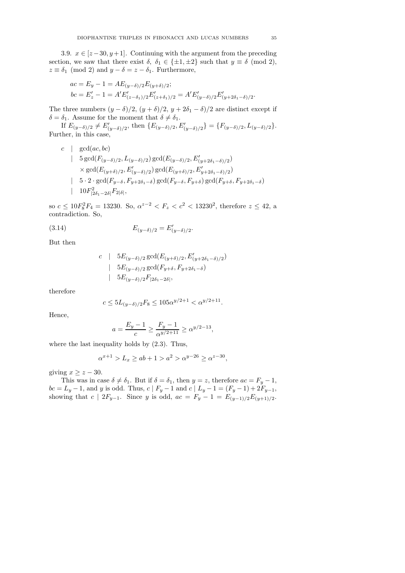3.9.  $x \in [z-30, y+1]$ . Continuing with the argument from the preceding section, we saw that there exist  $\delta$ ,  $\delta_1 \in \{\pm 1, \pm 2\}$  such that  $y \equiv \delta \pmod{2}$ ,  $z \equiv \delta_1 \pmod{2}$  and  $y - \delta = z - \delta_1$ . Furthermore,

$$
ac = E_y - 1 = AE_{(y-\delta)/2}E_{(y+\delta)/2};
$$
  
\n
$$
bc = E'_z - 1 = A'E'_{(z-\delta_1)/2}E'_{(z+\delta_1)/2} = A'E'_{(y-\delta)/2}E'_{(y+2\delta_1-\delta)/2}
$$

The three numbers  $(y - \delta)/2$ ,  $(y + \delta)/2$ ,  $y + 2\delta_1 - \delta)/2$  are distinct except if  $\delta = \delta_1$ . Assume for the moment that  $\delta \neq \delta_1$ .

If  $E_{(y-\delta)/2} \neq E'_{(y-\delta)/2}$ , then  $\{E_{(y-\delta)/2}, E'_{(y-\delta)/2}\} = \{F_{(y-\delta)/2}, L_{(y-\delta)/2}\}.$ Further, in this case,

c | gcd(*ac*, *bc*)  
\n5 gcd(
$$
F_{(y-\delta)/2}, L_{(y-\delta)/2}
$$
) gcd( $E_{(y-\delta)/2}, E'_{(y+2\delta_1-\delta)/2}$ )  
\n× gcd( $E_{(y+\delta)/2}, E'_{(y-\delta)/2}$ ) gcd( $E_{(y+\delta)/2}, E'_{y+2\delta_1-\delta)/2}$ )  
\n5 · 2 · gcd( $F_{y-\delta}, F_{y+2\delta_1-\delta}$ ) gcd( $F_{y-\delta}, F_{y+\delta}$ ) gcd( $F_{y+\delta}, F_{y+2\delta_1-\delta}$ )  
\n10 $F_{|2\delta_1-2\delta|}^2 F_{2|\delta|}$ ,

so  $c \le 10F_8^2F_4 = 13230$ . So,  $\alpha^{z-2} < F_z < c^2 < 13230^2$ , therefore  $z \le 42$ , a contradiction. So,

(3.14) 
$$
E_{(y-\delta)/2} = E'_{(y-\delta)/2}.
$$

But then

$$
c \quad | \quad 5E_{(y-\delta)/2} \gcd(E_{(y+\delta)/2}, E'_{(y+2\delta_1-\delta)/2})
$$
  
\n
$$
| \quad 5E_{(y-\delta)/2} \gcd(F_{y+\delta}, F_{y+2\delta_1-\delta})
$$
  
\n
$$
| \quad 5E_{(y-\delta)/2} F_{|2\delta_1-2\delta|},
$$

therefore

$$
c \le 5L_{(y-\delta)/2}F_8 \le 105\alpha^{y/2+1} < \alpha^{y/2+11}.
$$

Hence,

$$
a = \frac{E_y - 1}{c} \ge \frac{F_y - 1}{\alpha^{y/2 + 11}} \ge \alpha^{y/2 - 13},
$$

where the last inequality holds by (2.3). Thus,

$$
\alpha^{x+1} > L_x \ge ab + 1 > a^2 > \alpha^{y-26} \ge \alpha^{z-30},
$$

giving  $x \geq z - 30$ .

This was in case  $\delta \neq \delta_1$ . But if  $\delta = \delta_1$ , then  $y = z$ , therefore  $ac = F_y - 1$ ,  $bc = L_y - 1$ , and y is odd. Thus,  $c \mid F_y - 1$  and  $c \mid L_y - 1 = (F_y - 1) + 2F_{y-1}$ , showing that  $c \mid 2F_{y-1}$ . Since y is odd,  $ac = F_y - 1 = E_{(y-1)/2}E_{(y+1)/2}$ .

.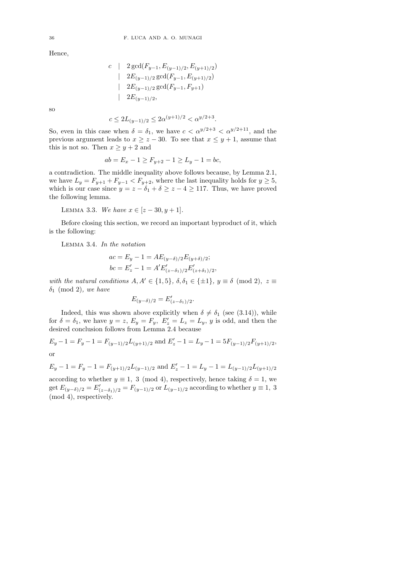Hence,

$$
c \quad | \quad 2 \gcd(F_{y-1}, E_{(y-1)/2}, E_{(y+1)/2})
$$
  
\n
$$
| \quad 2E_{(y-1)/2} \gcd(F_{y-1}, E_{(y+1)/2})
$$
  
\n
$$
| \quad 2E_{(y-1)/2} \gcd(F_{y-1}, F_{y+1})
$$
  
\n
$$
| \quad 2E_{(y-1)/2},
$$

so

$$
c \le 2L_{(y-1)/2} \le 2\alpha^{(y+1)/2} < \alpha^{y/2+3}.
$$

So, even in this case when  $\delta = \delta_1$ , we have  $c < \alpha^{y/2+3} < \alpha^{y/2+11}$ , and the previous argument leads to  $x > z - 30$ . To see that  $x \le y + 1$ , assume that this is not so. Then  $x \ge y + 2$  and

$$
ab = E_x - 1 \ge F_{y+2} - 1 \ge L_y - 1 = bc,
$$

a contradiction. The middle inequality above follows because, by Lemma 2.1, we have  $L_y = F_{y+1} + F_{y-1} < F_{y+2}$ , where the last inequality holds for  $y \geq 5$ , which is our case since  $y = z - \delta_1 + \delta \geq z - 4 \geq 117$ . Thus, we have proved the following lemma.

LEMMA 3.3. *We have*  $x \in [z - 30, y + 1]$ *.* 

Before closing this section, we record an important byproduct of it, which is the following:

Lemma 3.4. *In the notation*

$$
ac = E_y - 1 = AE_{(y-\delta)/2}E_{(y+\delta)/2};
$$
  
\n
$$
bc = E'_z - 1 = A'E'_{(z-\delta_1)/2}E'_{(z+\delta_1)/2},
$$

*with the natural conditions*  $A, A' \in \{1, 5\}$ ,  $\delta, \delta_1 \in \{\pm 1\}$ ,  $y \equiv \delta \pmod{2}$ ,  $z \equiv$ δ<sup>1</sup> (mod 2)*, we have*

$$
E_{(y-\delta)/2} = E'_{(z-\delta_1)/2}.
$$

Indeed, this was shown above explicitly when  $\delta \neq \delta_1$  (see (3.14)), while for  $\delta = \delta_1$ , we have  $y = z$ ,  $E_y = F_y$ ,  $E'_z = L_z = L_y$ , y is odd, and then the desired conclusion follows from Lemma 2.4 because

 $E_y - 1 = F_y - 1 = F_{(y-1)/2}L_{(y+1)/2}$  and  $E'_z - 1 = L_y - 1 = 5F_{(y-1)/2}F_{(y+1)/2}$ , or

$$
E_y - 1 = F_y - 1 = F_{(y+1)/2}L_{(y-1)/2}
$$
 and  $E'_z - 1 = L_y - 1 = L_{(y-1)/2}L_{(y+1)/2}$ 

according to whether  $y \equiv 1, 3 \pmod{4}$ , respectively, hence taking  $\delta = 1$ , we get  $E_{(y-\delta)/2} = E'_{(z-\delta_1)/2} = F_{(y-1)/2}$  or  $L_{(y-1)/2}$  according to whether  $y \equiv 1, 3$ (mod 4), respectively.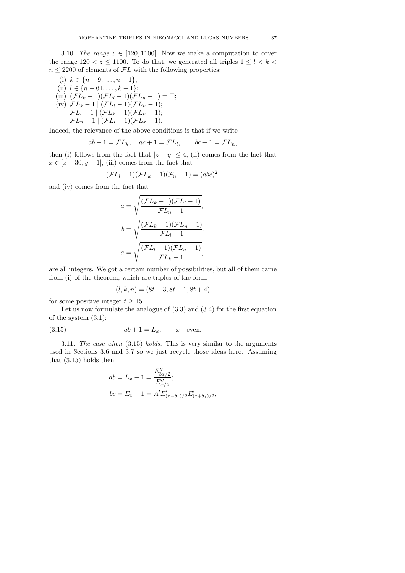3.10. *The range*  $z \in [120, 1100]$ . Now we make a computation to cover the range  $120 < z \le 1100$ . To do that, we generated all triples  $1 \le l \le k$  $n \leq 2200$  of elements of  $\mathcal{F}L$  with the following properties:

(i) 
$$
k \in \{n-9,...,n-1\};
$$
  
\n(ii)  $l \in \{n-61,...,k-1\};$   
\n(iii)  $(\mathcal{F}L_k - 1)(\mathcal{F}L_l - 1)(\mathcal{F}L_n - 1) = \square;$   
\n(iv)  $\mathcal{F}L_k - 1 | (\mathcal{F}L_l - 1)(\mathcal{F}L_n - 1);$   
\n $\mathcal{F}L_l - 1 | (\mathcal{F}L_k - 1)(\mathcal{F}L_n - 1);$   
\n $\mathcal{F}L_n - 1 | (\mathcal{F}L_l - 1)(\mathcal{F}L_k - 1).$ 

Indeed, the relevance of the above conditions is that if we write

$$
ab + 1 = \mathcal{F}L_k, \quad ac + 1 = \mathcal{F}L_l, \qquad bc + 1 = \mathcal{F}L_n,
$$

then (i) follows from the fact that  $|z - y| \leq 4$ , (ii) comes from the fact that  $x \in [z - 30, y + 1]$ , (iii) comes from the fact that

$$
(\mathcal{F}L_l - 1)(\mathcal{F}L_k - 1)(\mathcal{F}_n - 1) = (abc)^2,
$$

and (iv) comes from the fact that

$$
a = \sqrt{\frac{(\mathcal{F}L_k - 1)(\mathcal{F}L_l - 1)}{\mathcal{F}L_n - 1}},
$$

$$
b = \sqrt{\frac{(\mathcal{F}L_k - 1)(\mathcal{F}L_n - 1)}{\mathcal{F}L_l - 1}},
$$

$$
a = \sqrt{\frac{(\mathcal{F}L_l - 1)(\mathcal{F}L_n - 1)}{\mathcal{F}L_k - 1}},
$$

are all integers. We got a certain number of possibilities, but all of them came from (i) of the theorem, which are triples of the form

$$
(l, k, n) = (8t - 3, 8t - 1, 8t + 4)
$$

for some positive integer  $t \geq 15$ .

Let us now formulate the analogue of  $(3.3)$  and  $(3.4)$  for the first equation of the system (3.1):

$$
(3.15) \t ab+1=L_x, \t xe
$$
 even.

3.11. *The case when* (3.15) *holds.* This is very similar to the arguments used in Sections 3.6 and 3.7 so we just recycle those ideas here. Assuming that (3.15) holds then

$$
ab = L_x - 1 = \frac{E''_{3x/2}}{E''_{x/2}};
$$
  
 
$$
bc = E_z - 1 = A'E'_{(z-\delta_1)/2}E'_{(z+\delta_1)/2}
$$

,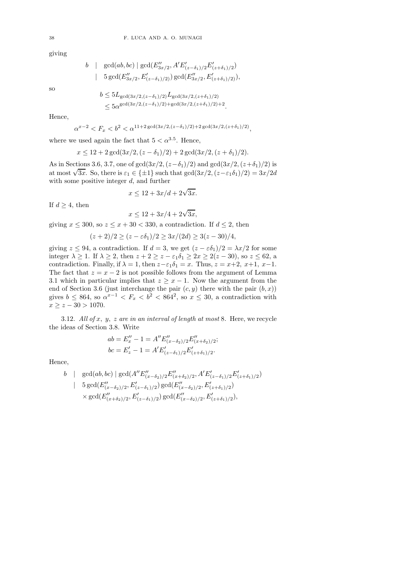giving

$$
b \mid \gcd(ab, bc) \mid \gcd(E''_{3x/2}, A'E'_{(z-\delta_1)/2}E'_{(z+\delta_1)/2})
$$
  
 
$$
\mid 5 \gcd(E''_{3x/2}, E'_{(z-\delta_1)/2)}) \gcd(E''_{3x/2}, E'_{(z+\delta_1)/2)}),
$$

so

$$
b \le 5L_{\text{gcd}(3x/2, (z-\delta_1)/2)}L_{\text{gcd}(3x/2, (z+\delta_1)/2)}
$$
  
\$\le 5\alpha^{\text{gcd}(3x/2, (z-\delta\_1)/2)+\text{gcd}(3x/2, (z+\delta\_1)/2)+2}\$

.

Hence,

$$
\alpha^{x-2} < F_x < b^2 < \alpha^{11+2} \gcd(3x/2, (z-\delta_1)/2) + 2 \gcd(3x/2, (z+\delta_1)/2),
$$

where we used again the fact that  $5 < \alpha^{3.5}$ . Hence,

$$
x \le 12 + 2\gcd(3x/2, (z - \delta_1)/2) + 2\gcd(3x/2, (z + \delta_1)/2).
$$

As in Sections 3.6, 3.7, one of gcd( $3x/2$ ,  $(z-\delta_1)/2$ ) and gcd( $3x/2$ ,  $(z+\delta_1)/2$ ) is at most  $\sqrt{3x}$ . So, there is  $\varepsilon_1 \in \{\pm 1\}$  such that  $\gcd(3x/2, (z-\varepsilon_1\delta_1)/2) = 3x/2d$ with some positive integer  $d$ , and further

$$
x \le 12 + 3x/d + 2\sqrt{3x}.
$$

If  $d \geq 4$ , then

$$
x \le 12 + 3x/4 + 2\sqrt{3x},
$$

giving  $x \le 300$ , so  $z \le x + 30 < 330$ , a contradiction. If  $d \le 2$ , then

$$
(z+2)/2 \ge (z - \varepsilon \delta_1)/2 \ge 3x/(2d) \ge 3(z - 30)/4,
$$

giving  $z \le 94$ , a contradiction. If  $d = 3$ , we get  $(z - \varepsilon \delta_1)/2 = \lambda x/2$  for some integer  $\lambda \geq 1$ . If  $\lambda \geq 2$ , then  $z + 2 \geq z - \varepsilon_1 \delta_1 \geq 2x \geq 2(z - 30)$ , so  $z \leq 62$ , a contradiction. Finally, if  $\lambda = 1$ , then  $z - \varepsilon_1 \delta_1 = x$ . Thus,  $z = x+2$ ,  $x+1$ ,  $x-1$ . The fact that  $z = x - 2$  is not possible follows from the argument of Lemma 3.1 which in particular implies that  $z \geq x - 1$ . Now the argument from the end of Section 3.6 (just interchange the pair  $(c, y)$  there with the pair  $(b, x)$ ) gives  $b \le 864$ , so  $\alpha^{x-1} < F_x < b^2 < 864^2$ , so  $x \le 30$ , a contradiction with  $x \geq z - 30 > 1070.$ 

3.12. *All of* x, y, z *are in an interval of length at most* 8*.* Here, we recycle the ideas of Section 3.8. Write

$$
ab = E''_x - 1 = A'' E''_{(x - \delta_2)/2} E''_{(x + \delta_2)/2};
$$
  

$$
bc = E'_z - 1 = A' E'_{(z - \delta_1)/2} E'_{(z + \delta_1)/2}.
$$

Hence,

$$
b \mid \gcd(ab, bc) \mid \gcd(A''E''_{(x-\delta_2)/2}E''_{(x+\delta_2)/2}, A'E'_{(z-\delta_1)/2}E'_{(z+\delta_1)/2})
$$
  
\n
$$
\mid 5 \gcd(E''_{(x-\delta_2)/2}, E'_{(z-\delta_1)/2}) \gcd(E''_{(x-\delta_2)/2}, E'_{(z+\delta_1)/2})
$$
  
\n
$$
\times \gcd(E''_{(x+\delta_2)/2}, E'_{(z-\delta_1)/2}) \gcd(E''_{(x-\delta_2)/2}, E'_{(z+\delta_1)/2}),
$$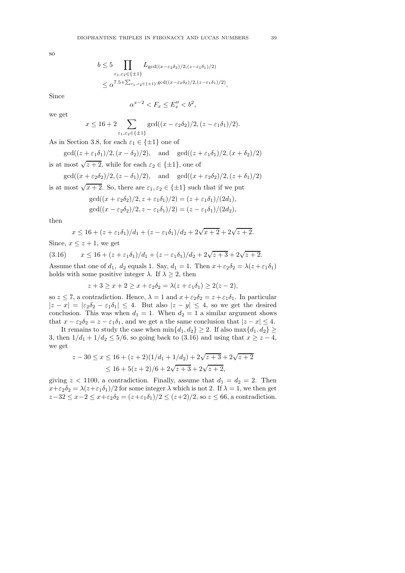so

$$
b \le 5 \prod_{\varepsilon_1, \varepsilon_2 \in \{\pm 1\}} L_{\gcd((x-\varepsilon_2 \delta_2)/2, (z-\varepsilon_1 \delta_1)/2)}
$$
  
 
$$
\le \alpha^{7.5+\sum_{\varepsilon_1, \varepsilon_2 \in \{\pm 1\}} \gcd((x-\varepsilon_2 \delta_2)/2, (z-\varepsilon_1 \delta_1)/2)}.
$$

Since

we get

$$
\alpha^{x-2} < F_x \le E_x'' < b^2,
$$

$$
x \le 16 + 2 \sum_{\varepsilon_1, \varepsilon_2 \in \{\pm 1\}} \gcd((x - \varepsilon_2 \delta_2)/2, (z - \varepsilon_1 \delta_1)/2).
$$

As in Section 3.8, for each  $\varepsilon_1 \in {\pm 1}$  one of

 $gcd((z + \varepsilon_1\delta_1)/2, (x - \delta_2)/2),$  and  $gcd((z + \varepsilon_1\delta_1)/2, (x + \delta_2)/2)$ is at most  $\sqrt{z+2}$ , while for each  $\varepsilon_2 \in {\pm 1}$ , one of

gcd( $(x + \varepsilon_2 \delta_2)/2$ ,  $(z - \delta_1)/2$ ), and gcd( $(x + \varepsilon_2 \delta_2)/2$ ,  $(z + \delta_1)/2$ )

is at most  $\sqrt{x+2}$ . So, there are  $\varepsilon_1, \varepsilon_2 \in {\pm 1}$  such that if we put

$$
gcd((x + \varepsilon_2 \delta_2)/2, z + \varepsilon_1 \delta_1)/2) = (z + \varepsilon_1 \delta_1)/(2d_1),
$$
  
\n
$$
gcd((x - \varepsilon_2 \delta_2)/2, z - \varepsilon_1 \delta_1)/2) = (z - \varepsilon_1 \delta_1)/(2d_2),
$$

then

$$
x \le 16 + (z + \varepsilon_1 \delta_1)/d_1 + (z - \varepsilon_1 \delta_1)/d_2 + 2\sqrt{x+2} + 2\sqrt{z+2}.
$$

Since,  $x \leq z + 1$ , we get

(3.16) 
$$
x \le 16 + (z + \varepsilon_1 \delta_1)/d_1 + (z - \varepsilon_1 \delta_1)/d_2 + 2\sqrt{z+3} + 2\sqrt{z+2}.
$$

Assume that one of  $d_1$ ,  $d_2$  equals 1. Say,  $d_1 = 1$ . Then  $x + \varepsilon_2 \delta_2 = \lambda (z + \varepsilon_1 \delta_1)$ holds with some positive integer  $\lambda$ . If  $\lambda \geq 2$ , then

$$
z+3 \ge x+2 \ge x+\varepsilon_2 \delta_2 = \lambda(z+\varepsilon_1 \delta_1) \ge 2(z-2),
$$

so  $z \le 7$ , a contradiction. Hence,  $\lambda = 1$  and  $x + \varepsilon_2 \delta_2 = z + \varepsilon_1 \delta_1$ . In particular  $|z - x| = |\varepsilon_2 \delta_2 - \varepsilon_1 \delta_1| \leq 4$ . But also  $|z - y| \leq 4$ , so we get the desired conclusion. This was when  $d_1 = 1$ . When  $d_2 = 1$  a similar argument shows that  $x - \varepsilon_2 \delta_2 = z - \varepsilon_1 \delta_1$ , and we get a the same conclusion that  $|z - x| \leq 4$ .

It remains to study the case when  $\min\{d_1, d_2\} \geq 2$ . If also  $\max\{d_1, d_2\} \geq$ 3, then  $1/d_1 + 1/d_2 \le 5/6$ , so going back to (3.16) and using that  $x \ge z - 4$ , we get

$$
z - 30 \le x \le 16 + (z+2)(1/d_1 + 1/d_2) + 2\sqrt{z+3} + 2\sqrt{z+2}
$$
  

$$
\le 16 + 5(z+2)/6 + 2\sqrt{z+3} + 2\sqrt{z+2},
$$

giving  $z < 1100$ , a contradiction. Finally, assume that  $d_1 = d_2 = 2$ . Then  $x+\varepsilon_2\delta_2 = \lambda(z+\varepsilon_1\delta_1)/2$  for some integer  $\lambda$  which is not 2. If  $\lambda = 1$ , we then get  $z-32 \leq x-2 \leq x+\epsilon_2\delta_2 = (z+\epsilon_1\delta_1)/2 \leq (z+2)/2$ , so  $z \leq 66$ , a contradiction.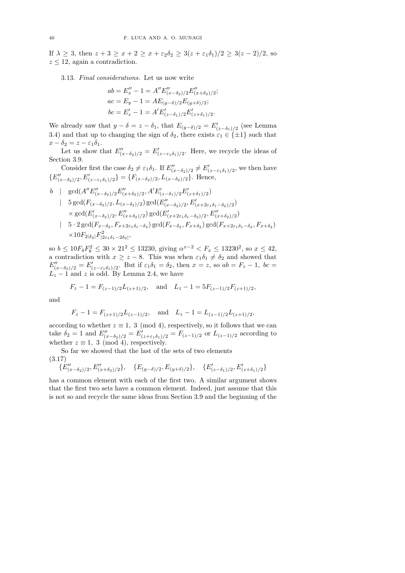If  $\lambda \geq 3$ , then  $z + 3 \geq x + 2 \geq x + \epsilon_2 \delta_2 \geq 3(z + \epsilon_1 \delta_1)/2 \geq 3(z - 2)/2$ , so  $z \leq 12$ , again a contradiction.

3.13. *Final considerations.* Let us now write

$$
ab = E''_x - 1 = A'' E''_{(x - \delta_2)/2} E''_{(x + \delta_2)/2};
$$
  
\n
$$
ac = E_y - 1 = A E_{(y - \delta)/2} E_{(y + \delta)/2};
$$
  
\n
$$
bc = E'_z - 1 = A' E'_{(z - \delta_1)/2} E'_{(z + \delta_1)/2}.
$$

We already saw that  $y - \delta = z - \delta_1$ , that  $E_{(y-\delta)/2} = E'_{(z-\delta_1)/2}$  (see Lemma 3.4) and that up to changing the sign of  $\delta_2$ , there exists  $\varepsilon_1 \in \{\pm 1\}$  such that  $x - \delta_2 = z - \varepsilon_1 \delta_1.$ 

Let us show that  $E''_{(x-\delta_2)/2} = E'_{(z-\epsilon_1\delta_1)/2}$ . Here, we recycle the ideas of Section 3.9.

Consider first the case  $\delta_2 \neq \varepsilon_1 \delta_1$ . If  $E''_{(x-\delta_2)/2} \neq E'_{(z-\varepsilon_1 \delta_1)/2}$ , we then have  ${E''_{(x-\delta_2)/2}, E'_{(z-\epsilon_1\delta_1)/2}} = {F_{(x-\delta_2)/2}, L_{(x-\delta_2)/2}}.$  Hence,

$$
b \mid \gcd(A''E''_{(x-\delta_2)/2}E''_{(x+\delta_2)/2}, A'E'_{(z-\delta_1)/2}E'_{(z+\delta_1)/2})
$$
  
\n
$$
\mid 5 \gcd(F_{(x-\delta_2)/2}, L_{(x-\delta_2)/2}) \gcd(E''_{(x-\delta_2)/2}, E'_{(x+2\epsilon_1\delta_1-\delta_2)/2})
$$
  
\n
$$
\times \gcd(E'_{(x-\delta_2)/2}, E''_{(x+\delta_2)/2}) \gcd(E'_{(x+2\epsilon_1\delta_1-\delta_2)/2}, E''_{(x+\delta_2)/2})
$$
  
\n
$$
\mid 5 \cdot 2 \gcd(F_{x-\delta_2}, F_{x+2\epsilon_1\delta_1-\delta_2}) \gcd(F_{x-\delta_2}, F_{x+\delta_2}) \gcd(F_{x+2\epsilon_1\delta_1-\delta_2}, F_{x+\delta_2})
$$
  
\n
$$
\times 10F_{2|\delta_2|}F^2_{|2\epsilon_1\delta_1-2\delta_2|},
$$

so  $b \le 10F_4F_8^2 \le 30 \times 21^2 \le 13230$ , giving  $\alpha^{x-2} < F_x \le 13230^2$ , so  $x \le 42$ , a contradiction with  $x \geq z - 8$ . This was when  $\varepsilon_1 \delta_1 \neq \delta_2$  and showed that  $E''_{(x-\delta_2)/2} = E'_{(z-\varepsilon_1\delta_1)/2}$ . But if  $\varepsilon_1\delta_1 = \delta_2$ , then  $x=z$ , so  $ab = F_z - 1$ ,  $bc =$  $L_z - 1$  and z is odd. By Lemma 2.4, we have

$$
F_z - 1 = F_{(z-1)/2}L_{(z+1)/2}
$$
, and  $L_z - 1 = 5F_{(z-1)/2}F_{(z+1)/2}$ ,

and

$$
F_z - 1 = F_{(z+1)/2}L_{(z-1)/2}
$$
, and  $L_z - 1 = L_{(z-1)/2}L_{(z+1)/2}$ ,

according to whether  $z \equiv 1, 3 \pmod{4}$ , respectively, so it follows that we can take  $\delta_2 = 1$  and  $E''_{(x-\delta_2)/2} = E'_{(z+\epsilon_1\delta_1)/2} = F_{(z-1)/2}$  or  $L_{(z-1)/2}$  according to whether  $z \equiv 1, 3 \pmod{4}$ , respectively.

So far we showed that the last of the sets of two elements (3.17)

$$
\{E''_{(x-\delta_2)/2}, E''_{(x+\delta_2)/2}\}, \quad \{E_{(y-\delta)/2}, E_{(y+\delta)/2}\}, \quad \{E'_{(z-\delta_1)/2}, E'_{(z+\delta_1)/2}\}
$$

has a common element with each of the first two. A similar argument shows that the first two sets have a common element. Indeed, just assume that this is not so and recycle the same ideas from Section 3.9 and the beginning of the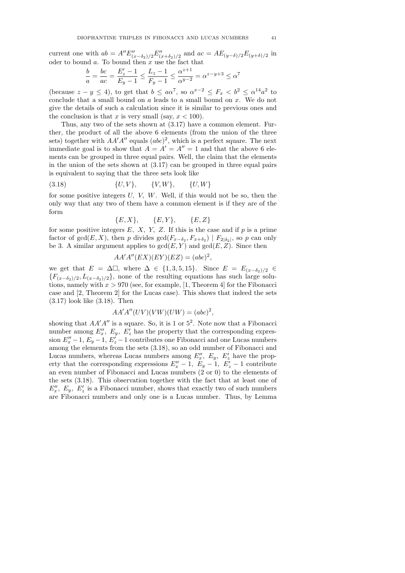current one with  $ab = A'' E''_{(x-\delta_2)/2} E''_{(x+\delta_2)/2}$  and  $ac = AE_{(y-\delta)/2} E_{(y+\delta)/2}$  in oder to bound  $a$ . To bound then  $x$  use the fact that

$$
\frac{b}{a} = \frac{bc}{ac} = \frac{E'_z - 1}{E_y - 1} \le \frac{L_z - 1}{F_y - 1} \le \frac{\alpha^{z+1}}{\alpha^{y-2}} = \alpha^{z-y+3} \le \alpha^7
$$

(because  $z - y \le 4$ ), to get that  $b \le a\alpha^7$ , so  $\alpha^{x-2} \le F_x < b^2 \le \alpha^{14}a^2$  to conclude that a small bound on a leads to a small bound on x. We do not give the details of such a calculation since it is similar to previous ones and the conclusion is that x is very small (say,  $x < 100$ ).

Thus, any two of the sets shown at (3.17) have a common element. Further, the product of all the above 6 elements (from the union of the three sets) together with  $AA'A''$  equals  $(abc)^2$ , which is a perfect square. The next immediate goal is to show that  $A = A' = A'' = 1$  and that the above 6 elements can be grouped in three equal pairs. Well, the claim that the elements in the union of the sets shown at (3.17) can be grouped in three equal pairs is equivalent to saying that the three sets look like

(3.18) 
$$
\{U, V\}, \{V, W\}, \{U, W\}
$$

for some positive integers  $U, V, W$ . Well, if this would not be so, then the only way that any two of them have a common element is if they are of the form

$$
\{E, X\}, \qquad \{E, Y\}, \qquad \{E, Z\}
$$

for some positive integers  $E, X, Y, Z$ . If this is the case and if  $p$  is a prime factor of gcd( $E, X$ ), then p divides gcd( $F_{x-\delta_2}, F_{x+\delta_2}$ ) |  $F_{2|\delta_2|}$ , so p can only be 3. A similar argument applies to  $gcd(E, Y)$  and  $gcd(E, Z)$ . Since then

$$
AA'A''(EX)(EY)(EZ) = (abc)^2,
$$

we get that  $E = \Delta \Box$ , where  $\Delta \in \{1, 3, 5, 15\}$ . Since  $E = E_{(x-\delta_2)/2} \in$  ${F_{(x-\delta_2)/2}, L_{(x-\delta_2)/2}}$ , none of the resulting equations has such large solutions, namely with  $x > 970$  (see, for example, [1, Theorem 4] for the Fibonacci case and [2, Theorem 2] for the Lucas case). This shows that indeed the sets (3.17) look like (3.18). Then

$$
AA'A''(UV)(VW)(UW) = (abc)^2,
$$

showing that  $AA'A''$  is a square. So, it is 1 or  $5^2$ . Note now that a Fibonacci number among  $E''_x$ ,  $E_y$ ,  $E'_z$  has the property that the corresponding expression  $E''_x - 1$ ,  $E'_y - 1$ ,  $E'_z - 1$  contributes one Fibonacci and one Lucas numbers among the elements from the sets (3.18), so an odd number of Fibonacci and Lucas numbers, whereas Lucas numbers among  $E''_x$ ,  $E_y$ ,  $E'_z$  have the property that the corresponding expressions  $E''_x - 1$ ,  $E_y - 1$ ,  $E'_z - 1$  contribute an even number of Fibonacci and Lucas numbers (2 or 0) to the elements of the sets (3.18). This observation together with the fact that at least one of  $E''_x$ ,  $E_y$ ,  $E'_z$  is a Fibonacci number, shows that exactly two of such numbers are Fibonacci numbers and only one is a Lucas number. Thus, by Lemma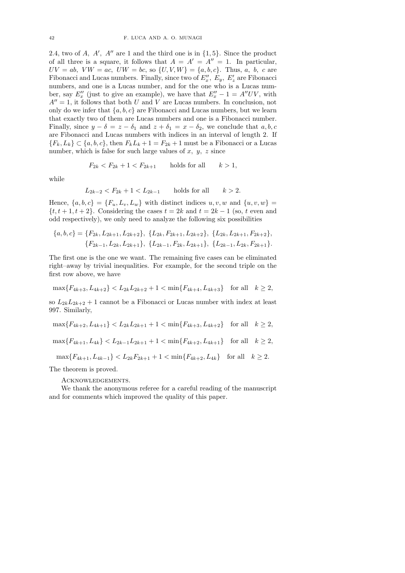2.4, two of  $A$ ,  $A'$ ,  $A''$  are 1 and the third one is in  $\{1,5\}$ . Since the product of all three is a square, it follows that  $A = A' = A'' = 1$ . In particular,  $UV = ab$ ,  $VW = ac$ ,  $UW = bc$ , so  $\{U, V, W\} = \{a, b, c\}$ . Thus, a, b, c are Fibonacci and Lucas numbers. Finally, since two of  $E''_x$ ,  $E_y$ ,  $E'_z$  are Fibonacci numbers, and one is a Lucas number, and for the one who is a Lucas number, say  $E''_x$  (just to give an example), we have that  $E''_x - 1 = A''UV$ , with  $A'' = 1$ , it follows that both U and V are Lucas numbers. In conclusion, not only do we infer that  $\{a, b, c\}$  are Fibonacci and Lucas numbers, but we learn that exactly two of them are Lucas numbers and one is a Fibonacci number. Finally, since  $y - \delta = z - \delta_1$  and  $z + \delta_1 = x - \delta_2$ , we conclude that  $a, b, c$ are Fibonacci and Lucas numbers with indices in an interval of length 2. If  ${F_k, L_k} \subset {a, b, c}$ , then  $F_kL_k + 1 = F_{2k} + 1$  must be a Fibonacci or a Lucas number, which is false for such large values of  $x, y, z$  since

$$
F_{2k} < F_{2k} + 1 < F_{2k+1} \qquad \text{holds for all} \qquad k > 1,
$$

while

$$
L_{2k-2} < F_{2k} + 1 < L_{2k-1}
$$
 holds for all  $k > 2$ .

Hence,  $\{a, b, c\} = \{F_u, L_v, L_w\}$  with distinct indices  $u, v, w$  and  $\{u, v, w\}$  $\{t, t+1, t+2\}$ . Considering the cases  $t = 2k$  and  $t = 2k - 1$  (so, t even and odd respectively), we only need to analyze the following six possibilities

$$
\{a, b, c\} = \{F_{2k}, L_{2k+1}, L_{2k+2}\}, \{L_{2k}, F_{2k+1}, L_{2k+2}\}, \{L_{2k}, L_{2k+1}, F_{2k+2}\},
$$

$$
\{F_{2k-1}, L_{2k}, L_{2k+1}\}, \{L_{2k-1}, F_{2k}, L_{2k+1}\}, \{L_{2k-1}, L_{2k}, F_{2k+1}\}.
$$

The first one is the one we want. The remaining five cases can be eliminated right–away by trivial inequalities. For example, for the second triple on the first row above, we have

$$
\max\{F_{4k+3}, L_{4k+2}\} < L_{2k}L_{2k+2} + 1 < \min\{F_{4k+4}, L_{4k+3}\} \quad \text{for all} \quad k \ge 2,
$$

so  $L_{2k}L_{2k+2}$  + 1 cannot be a Fibonacci or Lucas number with index at least 997. Similarly,

$$
\max\{F_{4k+2},L_{4k+1}\} < L_{2k}L_{2k+1} + 1 < \min\{F_{4k+3},L_{4k+2}\} \quad \text{for all} \quad k \ge 2,
$$

 $\max\{F_{4k+1}, L_{4k}\} < L_{2k-1}L_{2k+1} + 1 < \min\{F_{4k+2}, L_{4k+1}\}\$  for all  $k \geq 2$ ,

 $\max\{F_{4k+1}, L_{4k-1}\} < L_{2k}F_{2k+1} + 1 < \min\{F_{4k+2}, L_{4k}\}\$  for all  $k \geq 2$ .

The theorem is proved.

Acknowledgements.

We thank the anonymous referee for a careful reading of the manuscript and for comments which improved the quality of this paper.